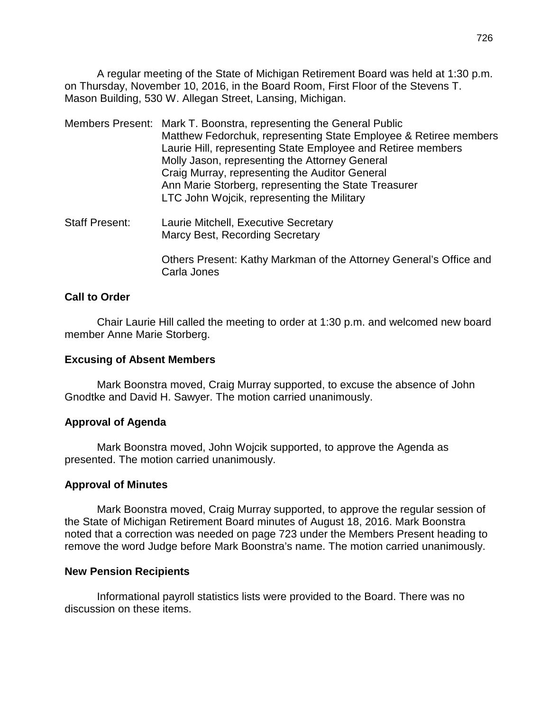A regular meeting of the State of Michigan Retirement Board was held at 1:30 p.m. on Thursday, November 10, 2016, in the Board Room, First Floor of the Stevens T. Mason Building, 530 W. Allegan Street, Lansing, Michigan.

- Members Present: Mark T. Boonstra, representing the General Public Matthew Fedorchuk, representing State Employee & Retiree members Laurie Hill, representing State Employee and Retiree members Molly Jason, representing the Attorney General Craig Murray, representing the Auditor General Ann Marie Storberg, representing the State Treasurer LTC John Wojcik, representing the Military
- Staff Present: Laurie Mitchell, Executive Secretary Marcy Best, Recording Secretary

Others Present: Kathy Markman of the Attorney General's Office and Carla Jones

#### **Call to Order**

Chair Laurie Hill called the meeting to order at 1:30 p.m. and welcomed new board member Anne Marie Storberg.

#### **Excusing of Absent Members**

Mark Boonstra moved, Craig Murray supported, to excuse the absence of John Gnodtke and David H. Sawyer. The motion carried unanimously.

# **Approval of Agenda**

Mark Boonstra moved, John Wojcik supported, to approve the Agenda as presented. The motion carried unanimously.

#### **Approval of Minutes**

Mark Boonstra moved, Craig Murray supported, to approve the regular session of the State of Michigan Retirement Board minutes of August 18, 2016. Mark Boonstra noted that a correction was needed on page 723 under the Members Present heading to remove the word Judge before Mark Boonstra's name. The motion carried unanimously.

#### **New Pension Recipients**

Informational payroll statistics lists were provided to the Board. There was no discussion on these items.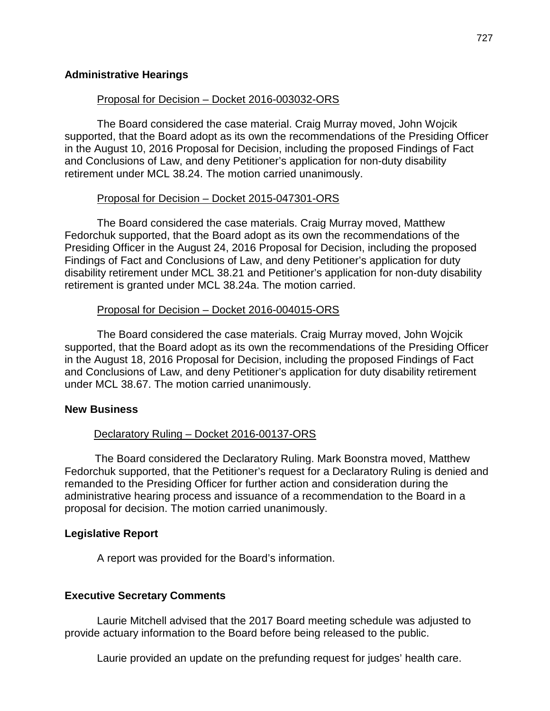#### Proposal for Decision – Docket 2016-003032-ORS

The Board considered the case material. Craig Murray moved, John Wojcik supported, that the Board adopt as its own the recommendations of the Presiding Officer in the August 10, 2016 Proposal for Decision, including the proposed Findings of Fact and Conclusions of Law, and deny Petitioner's application for non-duty disability retirement under MCL 38.24. The motion carried unanimously.

#### Proposal for Decision – Docket 2015-047301-ORS

The Board considered the case materials. Craig Murray moved, Matthew Fedorchuk supported, that the Board adopt as its own the recommendations of the Presiding Officer in the August 24, 2016 Proposal for Decision, including the proposed Findings of Fact and Conclusions of Law, and deny Petitioner's application for duty disability retirement under MCL 38.21 and Petitioner's application for non-duty disability retirement is granted under MCL 38.24a. The motion carried.

# Proposal for Decision – Docket 2016-004015-ORS

The Board considered the case materials. Craig Murray moved, John Wojcik supported, that the Board adopt as its own the recommendations of the Presiding Officer in the August 18, 2016 Proposal for Decision, including the proposed Findings of Fact and Conclusions of Law, and deny Petitioner's application for duty disability retirement under MCL 38.67. The motion carried unanimously.

# **New Business**

# Declaratory Ruling – Docket 2016-00137-ORS

 The Board considered the Declaratory Ruling. Mark Boonstra moved, Matthew Fedorchuk supported, that the Petitioner's request for a Declaratory Ruling is denied and remanded to the Presiding Officer for further action and consideration during the administrative hearing process and issuance of a recommendation to the Board in a proposal for decision. The motion carried unanimously.

# **Legislative Report**

A report was provided for the Board's information.

# **Executive Secretary Comments**

Laurie Mitchell advised that the 2017 Board meeting schedule was adjusted to provide actuary information to the Board before being released to the public.

Laurie provided an update on the prefunding request for judges' health care.